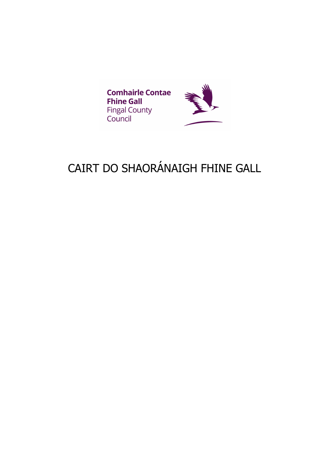

# CAIRT DO SHAORÁNAIGH FHINE GALL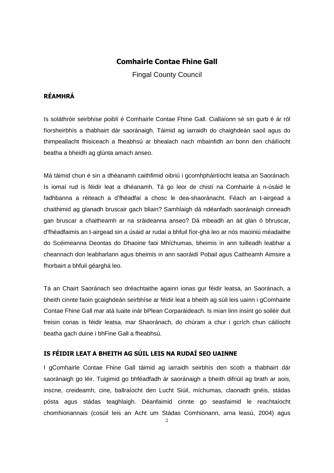# **Comhairle Contae Fhine Gall**

Fingal County Council

# **RÉAMHRÁ**

Is soláthróir seirbhíse poiblí é Comhairle Contae Fhine Gall. Ciallaíonn sé sin gurb é ár ról fíorsheirbhís a thabhairt dár saoránaigh. Táimid ag iarraidh do chaighdeán saoil agus do thimpeallacht fhisiceach a fheabhsú ar bhealach nach mbainfidh an bonn den cháilíocht beatha a bheidh ag glúnta amach anseo.

Má táimid chun é sin a dhéanamh caithfimid oibriú i gcomhpháirtíocht leatsa an Saoránach. Is iomaí rud is féidir leat a dhéanamh. Tá go leor de chistí na Comhairle á n-úsáid le fadhbanna a réiteach a d'fhéadfaí a chosc le dea-shaoránacht. Féach an t-airgead a chaithimid ag glanadh bruscair gach bliain? Samhlaigh dá ndéanfadh saoránaigh cinneadh gan bruscar a chaitheamh ar na sráideanna anseo? Dá mbeadh an áit glan ó bhruscar, d'fhéadfaimis an t-airgead sin a úsáid ar rudaí a bhfuil fíor-ghá leo ar nós maoiniú méadaithe do Scéimeanna Deontas do Dhaoine faoi Mhíchumas, bheimis in ann tuilleadh leabhar a cheannach don leabharlann agus bheimis in ann saoráidí Pobail agus Caitheamh Aimsire a fhorbairt a bhfuil géarghá leo.

Tá an Chairt Saoránach seo dréachtaithe againn ionas gur féidir leatsa, an Saoránach, a bheith cinnte faoin gcaighdeán seirbhíse ar féidir leat a bheith ag súil leis uainn i gComhairle Contae Fhine Gall mar atá luaite inár bPlean Corparáideach. Is mian linn insint go soiléir duit freisin conas is féidir leatsa, mar Shaoránach, do chúram a chur i gcrích chun cáilíocht beatha gach duine i bhFine Gall a fheabhsú.

# **IS FÉIDIR LEAT A BHEITH AG SÚIL LEIS NA RUDAÍ SEO UAINNE**

I gComhairle Contae Fhine Gall táimid ag iarraidh seirbhís den scoth a thabhairt dár saoránaigh go léir. Tuigimid go bhféadfadh ár saoránaigh a bheith difriúil ag brath ar aois, inscne, creideamh, cine, ballraíocht den Lucht Siúil, míchumas, claonadh gnéis, stádas pósta agus stádas teaghlaigh. Déanfaimid cinnte go seasfaimid le reachtaíocht chomhionannais (cosúil leis an Acht um Stádas Comhionann, arna leasú, 2004) agus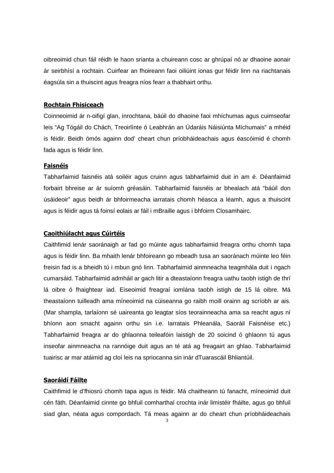oibreoimid chun fáil réidh le haon srianta a chuireann cosc ar ghrúpaí nó ar dhaoine aonair ár seirbhísí a rochtain. Cuirfear an fhoireann faoi oiliúint ionas gur féidir linn na riachtanais éagsúla sin a thuiscint agus freagra níos fearr a thabhairt orthu.

#### **Rochtain Fhisiceach**

Coinneoimid ár n-oifigí glan, inrochtana, báúil do dhaoine faoi mhíchumas agus cuimseofar leis "Ag Tógáil do Chách, Treoirlínte ó Leabhrán an Údaráis Náisiúnta Míchumais" a mhéid is féidir. Beidh ómós againn dod' cheart chun príobháideachais agus éascóimid é chomh fada agus is féidir linn.

## **Faisnéis**

Tabharfaimid faisnéis atá soiléir agus cruinn agus tabharfaimid duit in am é. Déanfaimid forbairt bhreise ar ár suíomh gréasáin. Tabharfaimid faisnéis ar bhealach atá "báúil don úsáideoir" agus beidh ár bhfoirmeacha iarratais chomh héasca a léamh, agus a thuiscint agus is féidir agus tá foinsí eolais ar fáil i mBraille agus i bhfoirm Closamhairc.

#### **Caoithiúlacht agus Cúirtéis**

Caithfimid lenár saoránaigh ar fad go múinte agus tabharfaimid freagra orthu chomh tapa agus is féidir linn. Ba mhaith lenár bhfoireann go mbeadh tusa an saoránach múinte leo féin freisin fad is a bheidh tú i mbun gnó linn. Tabharfaimid ainmneacha teagmhála duit i ngach cumarsáid. Tabharfaimid admháil ar gach litir a dteastaíonn freagra uathu taobh istigh de thrí lá oibre ó fhaightear iad. Eiseoimid freagraí iomlána taobh istigh de 15 lá oibre. Má theastaíonn tuilleadh ama míneoimid na cúiseanna go raibh moill orainn ag scríobh ar ais. (Mar shampla, tarlaíonn sé uaireanta go leagtar síos teorainneacha ama sa reacht agus ní bhíonn aon smacht againn orthu sin i.e. Iarratais Phleanála, Saoráil Faisnéise etc.) Tabharfaimid freagra ar do ghlaonna teileafóin laistigh de 20 soicind ó ghlaonn tú agus inseofar ainmneacha na rannóige duit agus an té atá ag freagairt an ghlao. Tabharfaimid tuairisc ar mar atáimid ag cloí leis na spriocanna sin inár dTuarascáil Bhliantúil.

#### **Saoráidí Fáilte**

Caithfimid le d'fhiosrú chomh tapa agus is féidir. Má chaitheann tú fanacht, míneoimid duit cén fáth. Déanfaimid cinnte go bhfuil comharthaí crochta inár limistéir fháilte, agus go bhfuil siad glan, néata agus compordach. Tá meas againn ar do cheart chun príobháideachais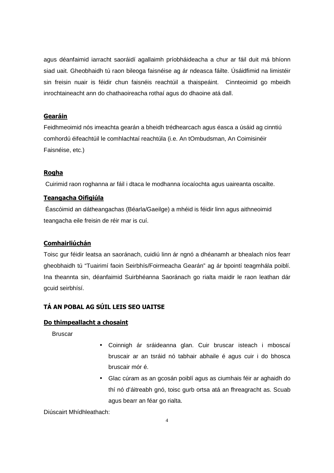agus déanfaimid iarracht saoráidí agallaimh príobháideacha a chur ar fáil duit má bhíonn siad uait. Gheobhaidh tú raon bileoga faisnéise ag ár ndeasca fáilte. Úsáidfimid na limistéir sin freisin nuair is féidir chun faisnéis reachtúil a thaispeáint. Cinnteoimid go mbeidh inrochtaineacht ann do chathaoireacha rothaí agus do dhaoine atá dall.

## **Gearáin**

Feidhmeoimid nós imeachta gearán a bheidh trédhearcach agus éasca a úsáid ag cinntiú comhordú éifeachtúil le comhlachtaí reachtúla (i.e. An tOmbudsman, An Coimisinéir Faisnéise, etc.)

# **Rogha**

Cuirimid raon roghanna ar fáil i dtaca le modhanna íocaíochta agus uaireanta oscailte.

# **Teangacha Oifigiúla**

Éascóimid an dátheangachas (Béarla/Gaeilge) a mhéid is féidir linn agus aithneoimid teangacha eile freisin de réir mar is cuí.

# **Comhairliúchán**

Toisc gur féidir leatsa an saoránach, cuidiú linn ár ngnó a dhéanamh ar bhealach níos fearr gheobhaidh tú "Tuairimí faoin Seirbhís/Foirmeacha Gearán" ag ár bpointí teagmhála poiblí. Ina theannta sin, déanfaimid Suirbhéanna Saoránach go rialta maidir le raon leathan dár gcuid seirbhísí.

# **TÁ AN POBAL AG SÚIL LEIS SEO UAITSE**

#### **Do thimpeallacht a chosaint**

**Bruscar** 

- Coinnigh ár sráideanna glan. Cuir bruscar isteach i mboscaí bruscair ar an tsráid nó tabhair abhaile é agus cuir i do bhosca bruscair mór é.
- Glac cúram as an gcosán poiblí agus as ciumhais féir ar aghaidh do thí nó d'áitreabh gnó, toisc gurb ortsa atá an fhreagracht as. Scuab agus bearr an féar go rialta.

Diúscairt Mhídhleathach: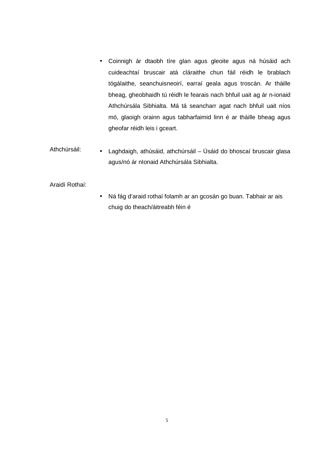- Coinnigh ár dtaobh tíre glan agus gleoite agus ná húsáid ach cuideachtaí bruscair atá cláraithe chun fáil réidh le brablach tógálaithe, seanchuisneoirí, earraí geala agus troscán. Ar tháille bheag, gheobhaidh tú réidh le fearais nach bhfuil uait ag ár n-ionaid Athchúrsála Sibhialta. Má tá seancharr agat nach bhfuil uait níos mó, glaoigh orainn agus tabharfaimid linn é ar tháille bheag agus gheofar réidh leis i gceart.
- Athchúrsáil: • Laghdaigh, athúsáid, athchúrsáil – Úsáid do bhoscaí bruscair glasa agus/nó ár nIonaid Athchúrsála Sibhialta.

Araidí Rothaí:

• Ná fág d'araid rothaí folamh ar an gcosán go buan. Tabhair ar ais chuig do theach/áitreabh féin é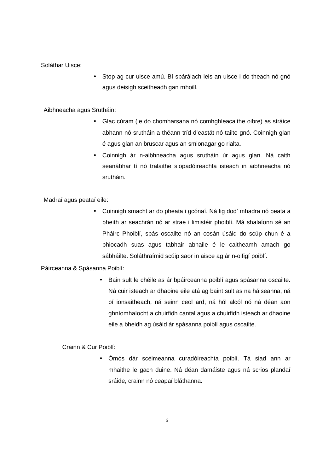Soláthar Uisce:

• Stop ag cur uisce amú. Bí spárálach leis an uisce i do theach nó gnó agus deisigh sceitheadh gan mhoill.

## Aibhneacha agus Srutháin:

- Glac cúram (le do chomharsana nó comhghleacaithe oibre) as stráice abhann nó srutháin a théann tríd d'eastát nó tailte gnó. Coinnigh glan é agus glan an bruscar agus an smionagar go rialta.
- Coinnigh ár n-aibhneacha agus srutháin úr agus glan. Ná caith seanábhar tí nó tralaithe siopadóireachta isteach in aibhneacha nó srutháin.

Madraí agus peataí eile:

• Coinnigh smacht ar do pheata i gcónaí. Ná lig dod' mhadra nó peata a bheith ar seachrán nó ar strae i limistéir phoiblí. Má shalaíonn sé an Pháirc Phoiblí, spás oscailte nó an cosán úsáid do scúp chun é a phiocadh suas agus tabhair abhaile é le caitheamh amach go sábháilte. Soláthraímid scúip saor in aisce ag ár n-oifigí poiblí.

Páirceanna & Spásanna Poiblí:

• Bain sult le chéile as ár bpáirceanna poiblí agus spásanna oscailte. Ná cuir isteach ar dhaoine eile atá ag baint sult as na háiseanna, ná bí ionsaitheach, ná seinn ceol ard, ná hól alcól nó ná déan aon ghníomhaíocht a chuirfidh cantal agus a chuirfidh isteach ar dhaoine eile a bheidh ag úsáid ár spásanna poiblí agus oscailte.

Crainn & Cur Poiblí:

• Ómós dár scéimeanna curadóireachta poiblí. Tá siad ann ar mhaithe le gach duine. Ná déan damáiste agus ná scrios plandaí sráide, crainn nó ceapaí bláthanna.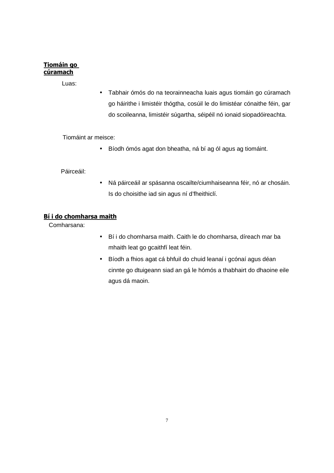# **Tiomáin go cúramach**

Luas:

• Tabhair ómós do na teorainneacha luais agus tiomáin go cúramach go háirithe i limistéir thógtha, cosúil le do limistéar cónaithe féin, gar do scoileanna, limistéir súgartha, séipéil nó ionaid siopadóireachta.

Tiomáint ar meisce:

• Bíodh ómós agat don bheatha, ná bí ag ól agus ag tiomáint.

Páirceáil:

• Ná páirceáil ar spásanna oscailte/ciumhaiseanna féir, nó ar chosáin. Is do choisithe iad sin agus ní d'fheithiclí.

#### **Bí i do chomharsa maith**

Comharsana:

- Bí i do chomharsa maith. Caith le do chomharsa, díreach mar ba mhaith leat go gcaithfí leat féin.
- Bíodh a fhios agat cá bhfuil do chuid leanaí i gcónaí agus déan cinnte go dtuigeann siad an gá le hómós a thabhairt do dhaoine eile agus dá maoin.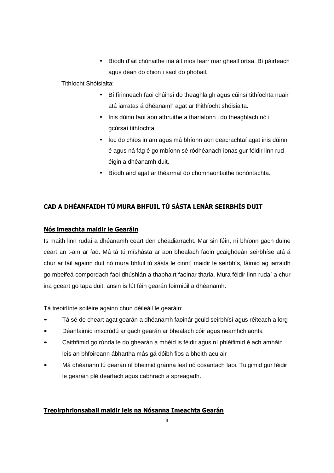• Bíodh d'áit chónaithe ina áit níos fearr mar gheall ortsa. Bí páirteach agus déan do chion i saol do phobail.

Tithíocht Shóisialta:

- Bí fírinneach faoi chúinsí do theaghlaigh agus cúinsí tithíochta nuair atá iarratas á dhéanamh agat ar thithíocht shóisialta.
- Inis dúinn faoi aon athruithe a tharlaíonn i do theaghlach nó i gcúrsaí tithíochta.
- Íoc do chíos in am agus má bhíonn aon deacrachtaí agat inis dúinn é agus ná fág é go mbíonn sé ródhéanach ionas gur féidir linn rud éigin a dhéanamh duit.
- Bíodh aird agat ar théarmaí do chomhaontaithe tionóntachta.

# **CAD A DHÉANFAIDH TÚ MURA BHFUIL TÚ SÁSTA LENÁR SEIRBHÍS DUIT**

# **Nós imeachta maidir le Gearáin**

Is maith linn rudaí a dhéanamh ceart den chéadiarracht. Mar sin féin, ní bhíonn gach duine ceart an t-am ar fad. Má tá tú míshásta ar aon bhealach faoin gcaighdeán seirbhíse atá á chur ar fáil againn duit nó mura bhfuil tú sásta le cinntí maidir le seirbhís, táimid ag iarraidh go mbeifeá compordach faoi dhúshlán a thabhairt faoinar tharla. Mura féidir linn rudaí a chur ina gceart go tapa duit, ansin is fút féin gearán foirmiúil a dhéanamh.

Tá treoirlínte soiléire againn chun déileáil le gearáin:

- Tá sé de cheart agat gearán a dhéanamh faoinár gcuid seirbhísí agus réiteach a lorg
- Déanfaimid imscrúdú ar gach gearán ar bhealach cóir agus neamhchlaonta
- Caithfimid go rúnda le do ghearán a mhéid is féidir agus ní phléifimid é ach amháin leis an bhfoireann ábhartha más gá dóibh fios a bheith acu air
- Má dhéanann tú gearán ní bheimid gránna leat nó cosantach faoi. Tuigimid gur féidir le gearáin plé dearfach agus cabhrach a spreagadh.

# **Treoirphrionsabail maidir leis na Nósanna Imeachta Gearán**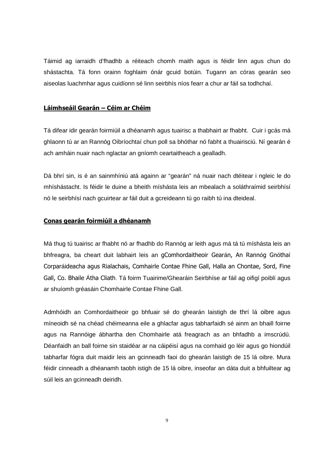Táimid ag iarraidh d'fhadhb a réiteach chomh maith agus is féidir linn agus chun do shástachta. Tá fonn orainn foghlaim ónár gcuid botúin. Tugann an córas gearán seo aiseolas luachmhar agus cuidíonn sé linn seirbhís níos fearr a chur ar fáil sa todhchaí.

#### **Láimhseáil Gearán – Céim ar Chéim**

Tá difear idir gearán foirmiúil a dhéanamh agus tuairisc a thabhairt ar fhabht. Cuir i gcás má ghlaonn tú ar an Rannóg Oibríochtaí chun poll sa bhóthar nó fabht a thuairisciú. Ní gearán é ach amháin nuair nach nglactar an gníomh ceartaitheach a gealladh.

Dá bhrí sin, is é an sainmhíniú atá againn ar "gearán" ná nuair nach dtéitear i ngleic le do mhíshástacht. Is féidir le duine a bheith míshásta leis an mbealach a soláthraímid seirbhísí nó le seirbhísí nach gcuirtear ar fáil duit a gcreideann tú go raibh tú ina dteideal.

#### **Conas gearán foirmiúil a dhéanamh**

Má thug tú tuairisc ar fhabht nó ar fhadhb do Rannóg ar leith agus má tá tú míshásta leis an bhfreagra, ba cheart duit labhairt leis an gComhordaitheoir Gearán, An Rannóg Gnóthaí Corparáideacha agus Rialachais, Comhairle Contae Fhine Gall, Halla an Chontae, Sord, Fine Gall, Co. Bhaile Átha Cliath. Tá foirm Tuairime/Ghearáin Seirbhíse ar fáil ag oifigí poiblí agus ar shuíomh gréasáin Chomhairle Contae Fhine Gall.

Admhóidh an Comhordaitheoir go bhfuair sé do ghearán laistigh de thrí lá oibre agus míneoidh sé na chéad chéimeanna eile a ghlacfar agus tabharfaidh sé ainm an bhaill foirne agus na Rannóige ábhartha den Chomhairle atá freagrach as an bhfadhb a imscrúdú. Déanfaidh an ball foirne sin staidéar ar na cáipéisí agus na comhaid go léir agus go hiondúil tabharfar fógra duit maidir leis an gcinneadh faoi do ghearán laistigh de 15 lá oibre. Mura féidir cinneadh a dhéanamh taobh istigh de 15 lá oibre, inseofar an dáta duit a bhfuiltear ag súil leis an gcinneadh deiridh.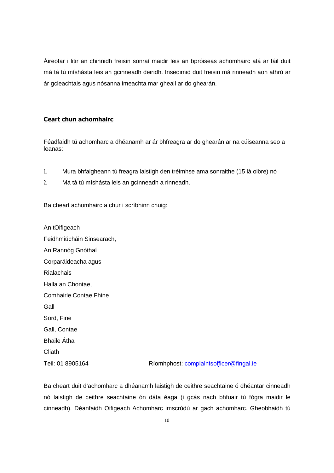Áireofar i litir an chinnidh freisin sonraí maidir leis an bpróiseas achomhairc atá ar fáil duit má tá tú míshásta leis an gcinneadh deiridh. Inseoimid duit freisin má rinneadh aon athrú ar ár gcleachtais agus nósanna imeachta mar gheall ar do ghearán.

#### **Ceart chun achomhairc**

Féadfaidh tú achomharc a dhéanamh ar ár bhfreagra ar do ghearán ar na cúiseanna seo a leanas:

- 1. Mura bhfaigheann tú freagra laistigh den tréimhse ama sonraithe (15 lá oibre) nó
- 2. Má tá tú míshásta leis an gcinneadh a rinneadh.

Ba cheart achomhairc a chur i scríbhinn chuig:

An tOifigeach Feidhmiúcháin Sinsearach, An Rannóg Gnóthaí Corparáideacha agus Rialachais Halla an Chontae, Comhairle Contae Fhine Gall Sord, Fine Gall, Contae Bhaile Átha **Cliath** Teil: 01 8905164 Ríomhphost: complaintsofficer@fingal.ie

Ba cheart duit d'achomharc a dhéanamh laistigh de ceithre seachtaine ó dhéantar cinneadh nó laistigh de ceithre seachtaine ón dáta éaga (i gcás nach bhfuair tú fógra maidir le cinneadh). Déanfaidh Oifigeach Achomharc imscrúdú ar gach achomharc. Gheobhaidh tú